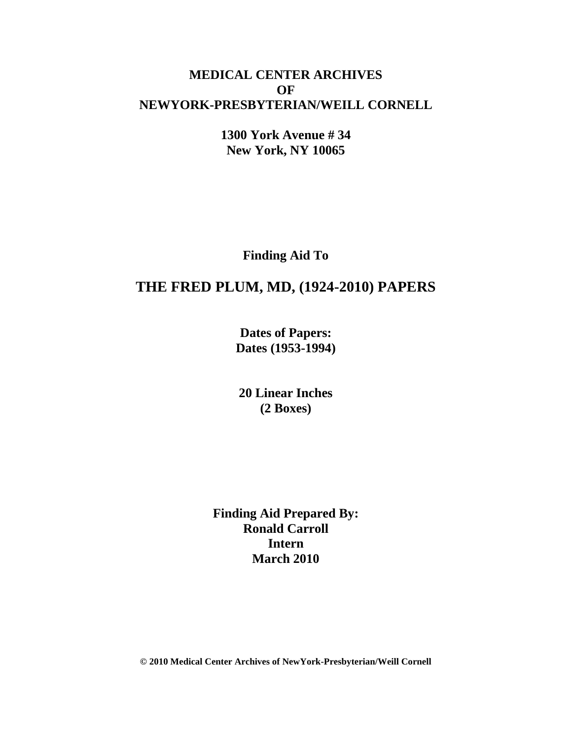# **MEDICAL CENTER ARCHIVES OF NEWYORK-PRESBYTERIAN/WEILL CORNELL**

**1300 York Avenue # 34 New York, NY 10065**

**Finding Aid To**

# **THE FRED PLUM, MD, (1924-2010) PAPERS**

**Dates of Papers: Dates (1953-1994)**

**20 Linear Inches (2 Boxes)**

**Finding Aid Prepared By: Ronald Carroll Intern March 2010**

**© 2010 Medical Center Archives of NewYork-Presbyterian/Weill Cornell**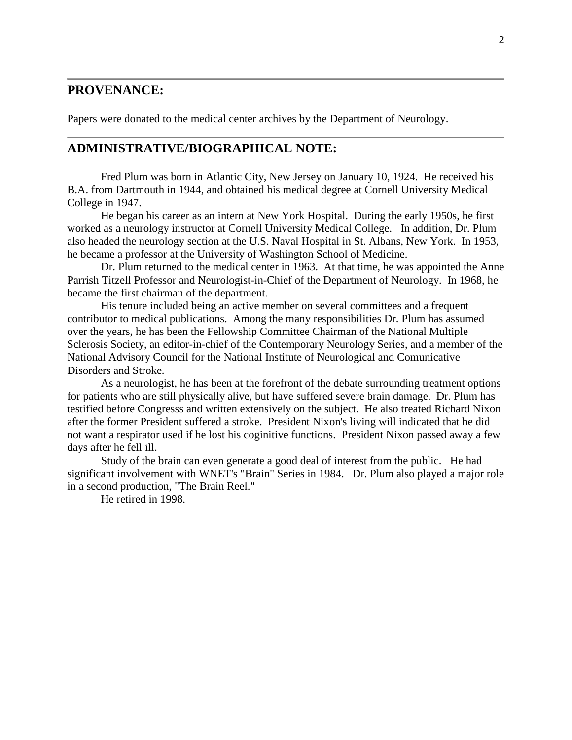### **PROVENANCE:**

Papers were donated to the medical center archives by the Department of Neurology.

#### **ADMINISTRATIVE/BIOGRAPHICAL NOTE:**

Fred Plum was born in Atlantic City, New Jersey on January 10, 1924. He received his B.A. from Dartmouth in 1944, and obtained his medical degree at Cornell University Medical College in 1947.

He began his career as an intern at New York Hospital. During the early 1950s, he first worked as a neurology instructor at Cornell University Medical College. In addition, Dr. Plum also headed the neurology section at the U.S. Naval Hospital in St. Albans, New York. In 1953, he became a professor at the University of Washington School of Medicine.

Dr. Plum returned to the medical center in 1963. At that time, he was appointed the Anne Parrish Titzell Professor and Neurologist-in-Chief of the Department of Neurology. In 1968, he became the first chairman of the department.

His tenure included being an active member on several committees and a frequent contributor to medical publications. Among the many responsibilities Dr. Plum has assumed over the years, he has been the Fellowship Committee Chairman of the National Multiple Sclerosis Society, an editor-in-chief of the Contemporary Neurology Series, and a member of the National Advisory Council for the National Institute of Neurological and Comunicative Disorders and Stroke.

As a neurologist, he has been at the forefront of the debate surrounding treatment options for patients who are still physically alive, but have suffered severe brain damage. Dr. Plum has testified before Congresss and written extensively on the subject. He also treated Richard Nixon after the former President suffered a stroke. President Nixon's living will indicated that he did not want a respirator used if he lost his coginitive functions. President Nixon passed away a few days after he fell ill.

Study of the brain can even generate a good deal of interest from the public. He had significant involvement with WNET's "Brain" Series in 1984. Dr. Plum also played a major role in a second production, "The Brain Reel."

He retired in 1998.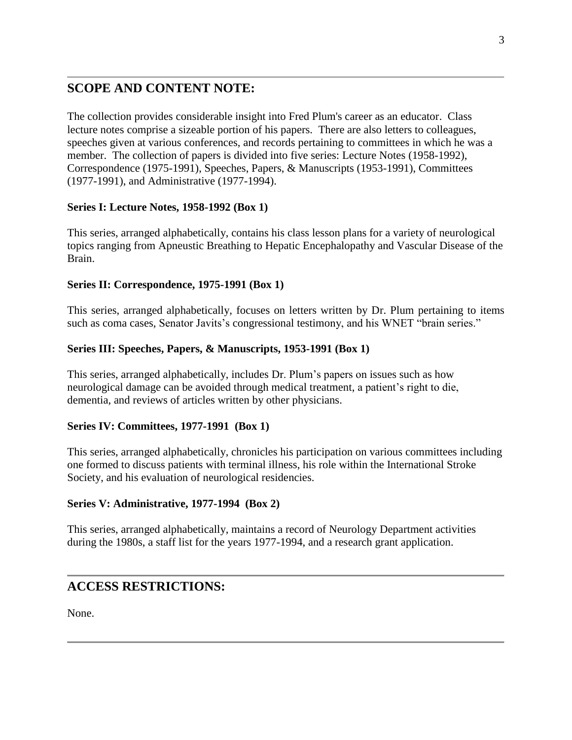# **SCOPE AND CONTENT NOTE:**

The collection provides considerable insight into Fred Plum's career as an educator. Class lecture notes comprise a sizeable portion of his papers. There are also letters to colleagues, speeches given at various conferences, and records pertaining to committees in which he was a member. The collection of papers is divided into five series: Lecture Notes (1958-1992), Correspondence (1975-1991), Speeches, Papers, & Manuscripts (1953-1991), Committees (1977-1991), and Administrative (1977-1994).

#### **Series I: Lecture Notes, 1958-1992 (Box 1)**

This series, arranged alphabetically, contains his class lesson plans for a variety of neurological topics ranging from Apneustic Breathing to Hepatic Encephalopathy and Vascular Disease of the Brain.

#### **Series II: Correspondence, 1975-1991 (Box 1)**

This series, arranged alphabetically, focuses on letters written by Dr. Plum pertaining to items such as coma cases, Senator Javits's congressional testimony, and his WNET "brain series."

#### **Series III: Speeches, Papers, & Manuscripts, 1953-1991 (Box 1)**

This series, arranged alphabetically, includes Dr. Plum's papers on issues such as how neurological damage can be avoided through medical treatment, a patient's right to die, dementia, and reviews of articles written by other physicians.

#### **Series IV: Committees, 1977-1991 (Box 1)**

This series, arranged alphabetically, chronicles his participation on various committees including one formed to discuss patients with terminal illness, his role within the International Stroke Society, and his evaluation of neurological residencies.

#### **Series V: Administrative, 1977-1994 (Box 2)**

This series, arranged alphabetically, maintains a record of Neurology Department activities during the 1980s, a staff list for the years 1977-1994, and a research grant application.

# **ACCESS RESTRICTIONS:**

None.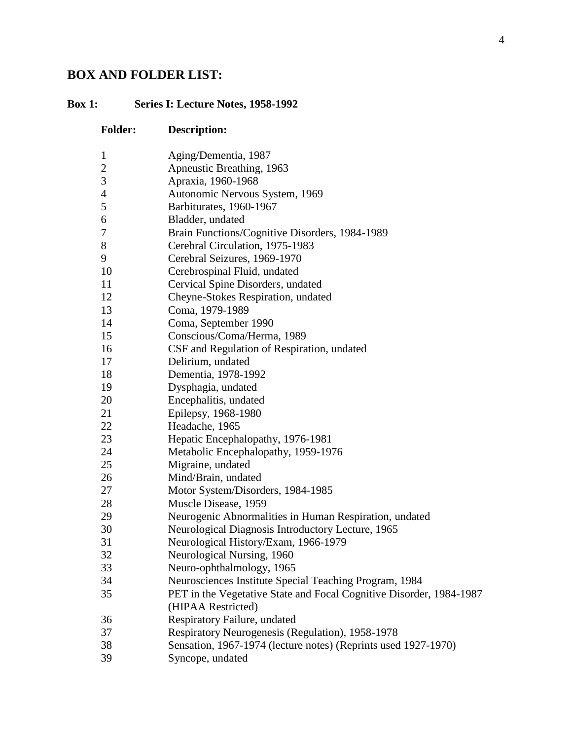# **BOX AND FOLDER LIST:**

## **Box 1: Series I: Lecture Notes, 1958-1992**

| <b>Folder:</b> | <b>Description:</b>                                                 |
|----------------|---------------------------------------------------------------------|
| $\mathbf{1}$   | Aging/Dementia, 1987                                                |
| $\overline{2}$ | Apneustic Breathing, 1963                                           |
| 3              | Apraxia, 1960-1968                                                  |
| $\overline{4}$ | Autonomic Nervous System, 1969                                      |
| 5              | Barbiturates, 1960-1967                                             |
| 6              | Bladder, undated                                                    |
| 7              | Brain Functions/Cognitive Disorders, 1984-1989                      |
| $8\,$          | Cerebral Circulation, 1975-1983                                     |
| 9              | Cerebral Seizures, 1969-1970                                        |
| 10             | Cerebrospinal Fluid, undated                                        |
| 11             | Cervical Spine Disorders, undated                                   |
| 12             | Cheyne-Stokes Respiration, undated                                  |
| 13             | Coma, 1979-1989                                                     |
| 14             | Coma, September 1990                                                |
| 15             | Conscious/Coma/Herma, 1989                                          |
| 16             | CSF and Regulation of Respiration, undated                          |
| 17             | Delirium, undated                                                   |
| 18             | Dementia, 1978-1992                                                 |
| 19             | Dysphagia, undated                                                  |
| 20             | Encephalitis, undated                                               |
| 21             | Epilepsy, 1968-1980                                                 |
| 22             | Headache, 1965                                                      |
| 23             | Hepatic Encephalopathy, 1976-1981                                   |
| 24             | Metabolic Encephalopathy, 1959-1976                                 |
| 25             | Migraine, undated                                                   |
| 26             | Mind/Brain, undated                                                 |
| 27             | Motor System/Disorders, 1984-1985                                   |
| 28             | Muscle Disease, 1959                                                |
| 29             | Neurogenic Abnormalities in Human Respiration, undated              |
| 30             | Neurological Diagnosis Introductory Lecture, 1965                   |
| 31             | Neurological History/Exam, 1966-1979                                |
| 32             | Neurological Nursing, 1960                                          |
| 33             | Neuro-ophthalmology, 1965                                           |
| 34             | Neurosciences Institute Special Teaching Program, 1984              |
| 35             | PET in the Vegetative State and Focal Cognitive Disorder, 1984-1987 |
|                | (HIPAA Restricted)                                                  |
| 36             | Respiratory Failure, undated                                        |
| 37             | Respiratory Neurogenesis (Regulation), 1958-1978                    |
| 38             | Sensation, 1967-1974 (lecture notes) (Reprints used 1927-1970)      |
| 39             | Syncope, undated                                                    |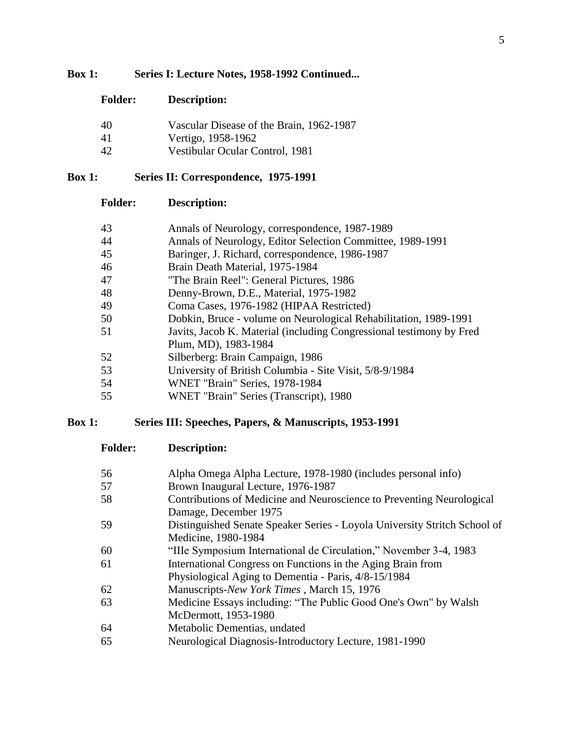### **Box 1: Series I: Lecture Notes, 1958-1992 Continued...**

| <b>Folder:</b> | <b>Description:</b> |
|----------------|---------------------|
|----------------|---------------------|

| 40 | Vascular Disease of the Brain, 1962-1987 |
|----|------------------------------------------|
| 41 | Vertigo, 1958-1962                       |
| 42 | Vestibular Ocular Control, 1981          |

## **Box 1: Series II: Correspondence, 1975-1991**

### **Folder: Description:**

| 43 | Annals of Neurology, correspondence, 1987-1989                       |
|----|----------------------------------------------------------------------|
| 44 | Annals of Neurology, Editor Selection Committee, 1989-1991           |
| 45 | Baringer, J. Richard, correspondence, 1986-1987                      |
| 46 | Brain Death Material, 1975-1984                                      |
| 47 | "The Brain Reel": General Pictures, 1986                             |
| 48 | Denny-Brown, D.E., Material, 1975-1982                               |
| 49 | Coma Cases, 1976-1982 (HIPAA Restricted)                             |
| 50 | Dobkin, Bruce - volume on Neurological Rehabilitation, 1989-1991     |
| 51 | Javits, Jacob K. Material (including Congressional testimony by Fred |
|    | Plum, MD), 1983-1984                                                 |
| 52 | Silberberg: Brain Campaign, 1986                                     |
| 53 | University of British Columbia - Site Visit, 5/8-9/1984              |
| 54 | WNET "Brain" Series, 1978-1984                                       |
| 55 | WNET "Brain" Series (Transcript), 1980                               |

### **Box 1: Series III: Speeches, Papers, & Manuscripts, 1953-1991**

**Folder: Description:**

| 56 | Alpha Omega Alpha Lecture, 1978-1980 (includes personal info)             |
|----|---------------------------------------------------------------------------|
| 57 | Brown Inaugural Lecture, 1976-1987                                        |
| 58 | Contributions of Medicine and Neuroscience to Preventing Neurological     |
|    | Damage, December 1975                                                     |
| 59 | Distinguished Senate Speaker Series - Loyola University Stritch School of |
|    | Medicine, 1980-1984                                                       |
| 60 | "Ille Symposium International de Circulation," November 3-4, 1983         |
| 61 | International Congress on Functions in the Aging Brain from               |
|    | Physiological Aging to Dementia - Paris, 4/8-15/1984                      |
| 62 | Manuscripts-New York Times, March 15, 1976                                |
| 63 | Medicine Essays including: "The Public Good One's Own" by Walsh           |
|    | McDermott, 1953-1980                                                      |
| 64 | Metabolic Dementias, undated                                              |
| 65 | Neurological Diagnosis-Introductory Lecture, 1981-1990                    |
|    |                                                                           |